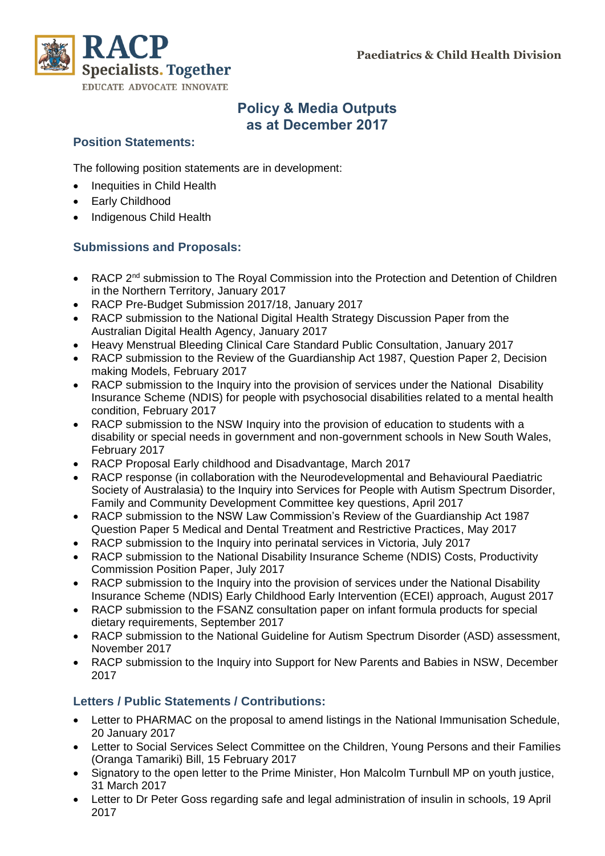**Paediatrics & Child Health Division**



# **Policy & Media Outputs as at December 2017**

#### **Position Statements:**

The following position statements are in development:

- Inequities in Child Health
- Early Childhood
- Indigenous Child Health

### **Submissions and Proposals:**

- RACP 2<sup>nd</sup> submission to The Royal Commission into the Protection and Detention of Children in the Northern Territory, January 2017
- RACP Pre-Budget Submission 2017/18, January 2017
- RACP submission to the National Digital Health Strategy Discussion Paper from the Australian Digital Health Agency, January 2017
- Heavy Menstrual Bleeding Clinical Care Standard Public Consultation, January 2017
- RACP submission to the Review of the Guardianship Act 1987, Question Paper 2, Decision making Models, February 2017
- RACP submission to the Inquiry into the provision of services under the National Disability Insurance Scheme (NDIS) for people with psychosocial disabilities related to a mental health condition, February 2017
- RACP submission to the NSW Inquiry into the provision of education to students with a disability or special needs in government and non-government schools in New South Wales, February 2017
- RACP Proposal Early childhood and Disadvantage, March 2017
- RACP response (in collaboration with the Neurodevelopmental and Behavioural Paediatric Society of Australasia) to the Inquiry into Services for People with Autism Spectrum Disorder, Family and Community Development Committee key questions, April 2017
- RACP submission to the NSW Law Commission's Review of the Guardianship Act 1987 Question Paper 5 Medical and Dental Treatment and Restrictive Practices, May 2017
- RACP submission to the Inquiry into perinatal services in Victoria, July 2017
- RACP submission to the National Disability Insurance Scheme (NDIS) Costs, Productivity Commission Position Paper, July 2017
- RACP submission to the Inquiry into the provision of services under the National Disability Insurance Scheme (NDIS) Early Childhood Early Intervention (ECEI) approach, August 2017
- RACP submission to the FSANZ consultation paper on infant formula products for special dietary requirements, September 2017
- RACP submission to the National Guideline for Autism Spectrum Disorder (ASD) assessment, November 2017
- RACP submission to the Inquiry into Support for New Parents and Babies in NSW, December 2017

#### **Letters / Public Statements / Contributions:**

- Letter to PHARMAC on the proposal to amend listings in the National Immunisation Schedule, 20 January 2017
- Letter to Social Services Select Committee on the Children, Young Persons and their Families (Oranga Tamariki) Bill, 15 February 2017
- Signatory to the open letter to the Prime Minister, Hon Malcolm Turnbull MP on youth justice, 31 March 2017
- Letter to Dr Peter Goss regarding safe and legal administration of insulin in schools, 19 April 2017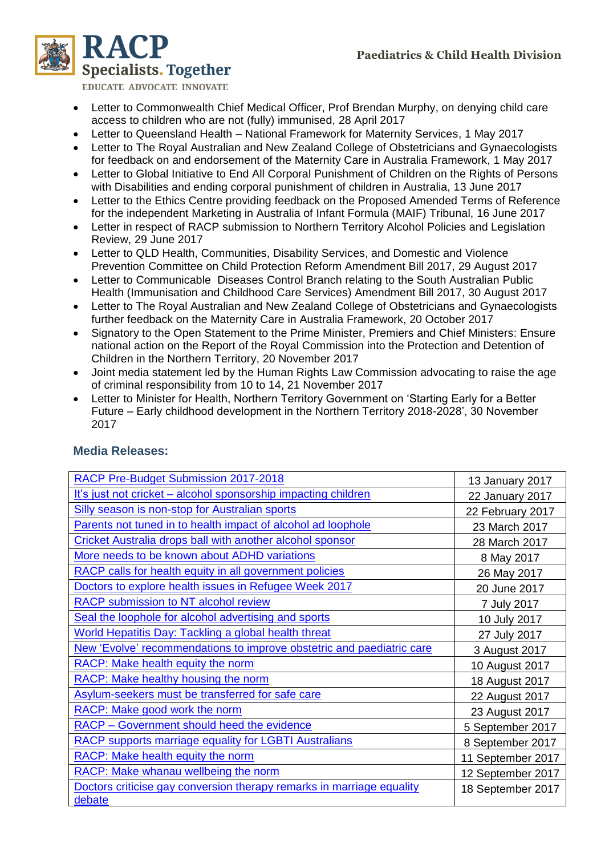

EDUCATE ADVOCATE INNOVATE

- Letter to Commonwealth Chief Medical Officer, Prof Brendan Murphy, on denying child care access to children who are not (fully) immunised, 28 April 2017
- Letter to Queensland Health National Framework for Maternity Services, 1 May 2017
- Letter to The Royal Australian and New Zealand College of Obstetricians and Gynaecologists for feedback on and endorsement of the Maternity Care in Australia Framework, 1 May 2017
- Letter to Global Initiative to End All Corporal Punishment of Children on the Rights of Persons with Disabilities and ending corporal punishment of children in Australia, 13 June 2017
- Letter to the Ethics Centre providing feedback on the Proposed Amended Terms of Reference for the independent Marketing in Australia of Infant Formula (MAIF) Tribunal, 16 June 2017
- Letter in respect of RACP submission to Northern Territory Alcohol Policies and Legislation Review, 29 June 2017
- Letter to QLD Health, Communities, Disability Services, and Domestic and Violence Prevention Committee on Child Protection Reform Amendment Bill 2017, 29 August 2017
- Letter to Communicable Diseases Control Branch relating to the South Australian Public Health (Immunisation and Childhood Care Services) Amendment Bill 2017, 30 August 2017
- Letter to The Royal Australian and New Zealand College of Obstetricians and Gynaecologists further feedback on the Maternity Care in Australia Framework, 20 October 2017
- Signatory to the Open Statement to the Prime Minister, Premiers and Chief Ministers: Ensure national action on the Report of the Royal Commission into the Protection and Detention of Children in the Northern Territory, 20 November 2017
- Joint media statement led by the Human Rights Law Commission advocating to raise the age of criminal responsibility from 10 to 14, 21 November 2017
- Letter to Minister for Health, Northern Territory Government on 'Starting Early for a Better Future – Early childhood development in the Northern Territory 2018-2028', 30 November 2017

| RACP Pre-Budget Submission 2017-2018                                            | 13 January 2017   |
|---------------------------------------------------------------------------------|-------------------|
| It's just not cricket - alcohol sponsorship impacting children                  | 22 January 2017   |
| <b>Silly season is non-stop for Australian sports</b>                           | 22 February 2017  |
| Parents not tuned in to health impact of alcohol ad loophole                    | 23 March 2017     |
| <b>Cricket Australia drops ball with another alcohol sponsor</b>                | 28 March 2017     |
| More needs to be known about ADHD variations                                    | 8 May 2017        |
| RACP calls for health equity in all government policies                         | 26 May 2017       |
| Doctors to explore health issues in Refugee Week 2017                           | 20 June 2017      |
| <b>RACP submission to NT alcohol review</b>                                     | 7 July 2017       |
| Seal the loophole for alcohol advertising and sports                            | 10 July 2017      |
| World Hepatitis Day: Tackling a global health threat                            | 27 July 2017      |
| New 'Evolve' recommendations to improve obstetric and paediatric care           | 3 August 2017     |
| RACP: Make health equity the norm                                               | 10 August 2017    |
| RACP: Make healthy housing the norm                                             | 18 August 2017    |
| Asylum-seekers must be transferred for safe care                                | 22 August 2017    |
| RACP: Make good work the norm                                                   | 23 August 2017    |
| <b>RACP - Government should heed the evidence</b>                               | 5 September 2017  |
| <b>RACP supports marriage equality for LGBTI Australians</b>                    | 8 September 2017  |
| RACP: Make health equity the norm                                               | 11 September 2017 |
| RACP: Make whanau wellbeing the norm                                            | 12 September 2017 |
| Doctors criticise gay conversion therapy remarks in marriage equality<br>debate | 18 September 2017 |

#### **Media Releases:**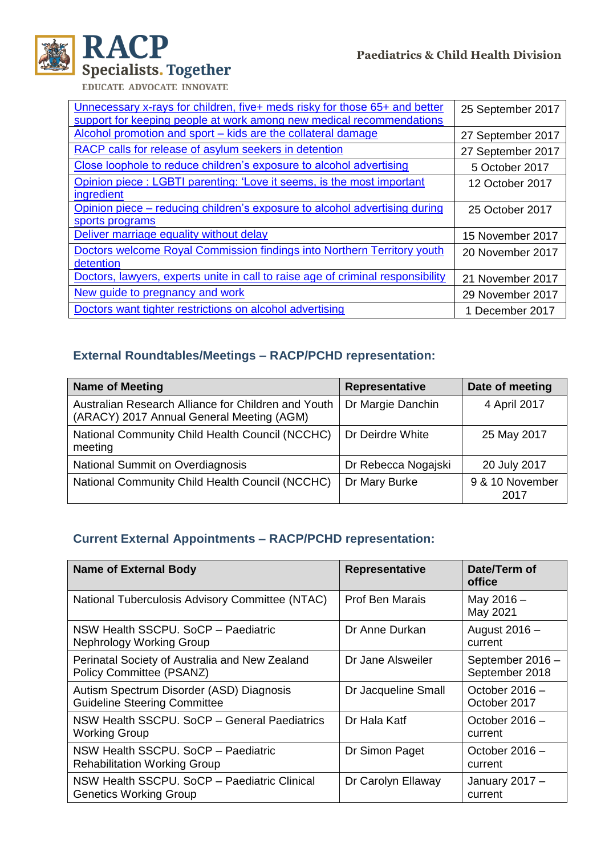

EDUCATE ADVOCATE INNOVATE

| Unnecessary x-rays for children, five+ meds risky for those 65+ and better      | 25 September 2017 |
|---------------------------------------------------------------------------------|-------------------|
| support for keeping people at work among new medical recommendations            |                   |
| Alcohol promotion and sport – kids are the collateral damage                    | 27 September 2017 |
| RACP calls for release of asylum seekers in detention                           | 27 September 2017 |
| Close loophole to reduce children's exposure to alcohol advertising             | 5 October 2017    |
| Opinion piece: LGBTI parenting: 'Love it seems, is the most important           | 12 October 2017   |
| ingredient                                                                      |                   |
| Opinion piece – reducing children's exposure to alcohol advertising during      | 25 October 2017   |
| sports programs                                                                 |                   |
| Deliver marriage equality without delay                                         | 15 November 2017  |
| Doctors welcome Royal Commission findings into Northern Territory youth         | 20 November 2017  |
| detention                                                                       |                   |
| Doctors, lawyers, experts unite in call to raise age of criminal responsibility | 21 November 2017  |
| New guide to pregnancy and work                                                 | 29 November 2017  |
| Doctors want tighter restrictions on alcohol advertising                        | 1 December 2017   |

# **External Roundtables/Meetings – RACP/PCHD representation:**

| <b>Name of Meeting</b>                                                                           | Representative      | Date of meeting         |
|--------------------------------------------------------------------------------------------------|---------------------|-------------------------|
| Australian Research Alliance for Children and Youth<br>(ARACY) 2017 Annual General Meeting (AGM) | Dr Margie Danchin   | 4 April 2017            |
| National Community Child Health Council (NCCHC)<br>meeting                                       | Dr Deirdre White    | 25 May 2017             |
| National Summit on Overdiagnosis                                                                 | Dr Rebecca Nogajski | 20 July 2017            |
| National Community Child Health Council (NCCHC)                                                  | Dr Mary Burke       | 9 & 10 November<br>2017 |

# **Current External Appointments – RACP/PCHD representation:**

| <b>Name of External Body</b>                                                    | Representative         | Date/Term of<br>office             |
|---------------------------------------------------------------------------------|------------------------|------------------------------------|
| National Tuberculosis Advisory Committee (NTAC)                                 | <b>Prof Ben Marais</b> | May 2016 -<br>May 2021             |
| NSW Health SSCPU, SoCP - Paediatric<br>Nephrology Working Group                 | Dr Anne Durkan         | August 2016 -<br>current           |
| Perinatal Society of Australia and New Zealand<br>Policy Committee (PSANZ)      | Dr Jane Alsweiler      | September 2016 -<br>September 2018 |
| Autism Spectrum Disorder (ASD) Diagnosis<br><b>Guideline Steering Committee</b> | Dr Jacqueline Small    | October 2016 -<br>October 2017     |
| NSW Health SSCPU. SoCP - General Paediatrics<br><b>Working Group</b>            | Dr Hala Katf           | October $2016 -$<br>current        |
| NSW Health SSCPU. SoCP - Paediatric<br><b>Rehabilitation Working Group</b>      | Dr Simon Paget         | October $2016 -$<br>current        |
| NSW Health SSCPU. SoCP - Paediatric Clinical<br><b>Genetics Working Group</b>   | Dr Carolyn Ellaway     | January 2017 -<br>current          |